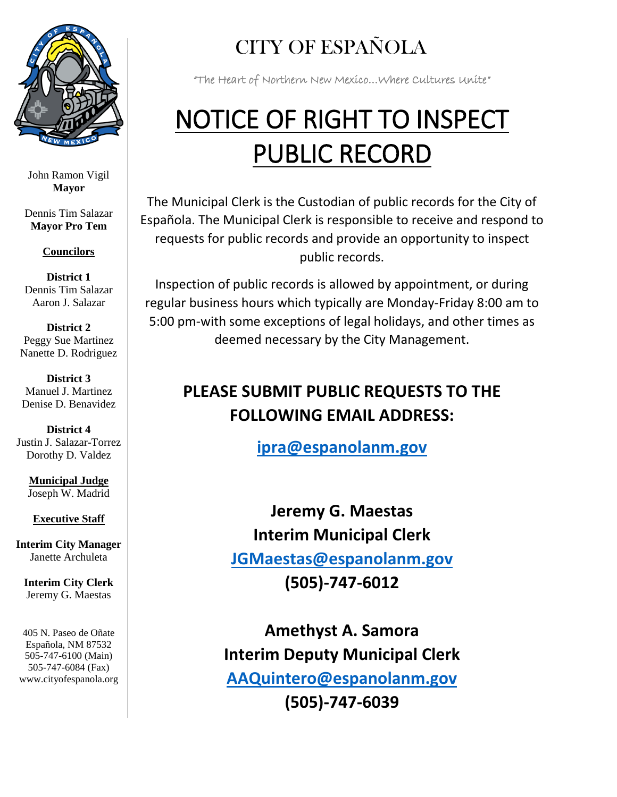

John Ramon Vigil **Mayor**

Dennis Tim Salazar **Mayor Pro Tem**

**Councilors**

**District 1** Dennis Tim Salazar Aaron J. Salazar

**District 2** Peggy Sue Martinez Nanette D. Rodriguez

**District 3** Manuel J. Martinez Denise D. Benavidez

**District 4** Justin J. Salazar-Torrez Dorothy D. Valdez

**Municipal Judge** Joseph W. Madrid

**Executive Staff**

**Interim City Manager** Janette Archuleta

**Interim City Clerk** Jeremy G. Maestas

405 N. Paseo de Oñate Española, NM 87532 505-747-6100 (Main) 505-747-6084 (Fax) www.cityofespanola.org

## CITY OF ESPAÑOLA

"The Heart of Northern New Mexico…Where Cultures Unite"

## NOTICE OF RIGHT TO INSPECT PUBLIC RECORD

The Municipal Clerk is the Custodian of public records for the City of Española. The Municipal Clerk is responsible to receive and respond to requests for public records and provide an opportunity to inspect public records.

Inspection of public records is allowed by appointment, or during regular business hours which typically are Monday-Friday 8:00 am to 5:00 pm-with some exceptions of legal holidays, and other times as deemed necessary by the City Management.

## **PLEASE SUBMIT PUBLIC REQUESTS TO THE FOLLOWING EMAIL ADDRESS:**

**[ipra@espanolanm.gov](mailto:ipra@espanolanm.gov)**

**Jeremy G. Maestas Interim Municipal Clerk [JGMaestas@espanolanm.gov](mailto:JGMaestas@espanolanm.gov) (505)-747-6012**

**Amethyst A. Samora Interim Deputy Municipal Clerk [AAQuintero@espanolanm.gov](mailto:AAQuintero@espanolanm.gov) (505)-747-6039**